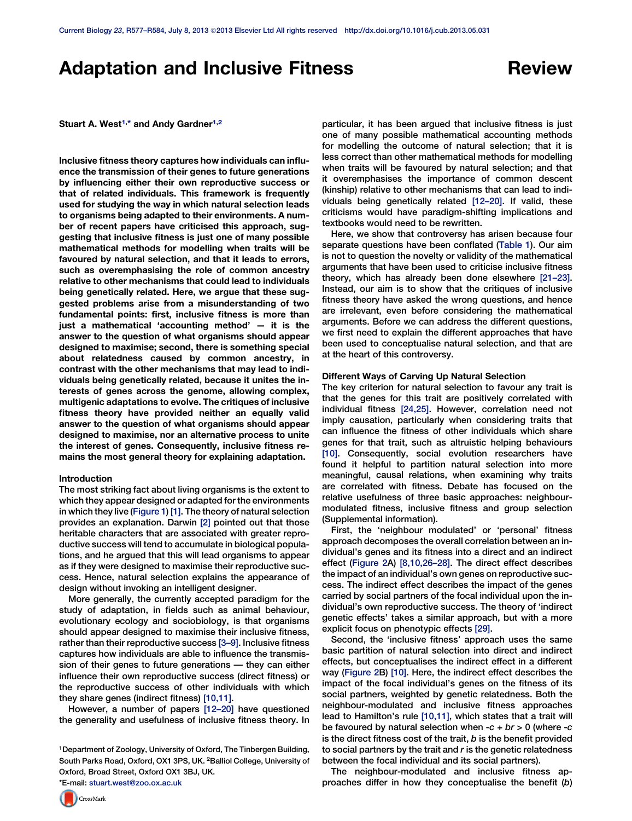# Adaptation and Inclusive Fitness The Review

Stuart A. West<sup>1,\*</sup> and Andy Gardner<sup>1,2</sup>

Inclusive fitness theory captures how individuals can influence the transmission of their genes to future generations by influencing either their own reproductive success or that of related individuals. This framework is frequently used for studying the way in which natural selection leads to organisms being adapted to their environments. A number of recent papers have criticised this approach, suggesting that inclusive fitness is just one of many possible mathematical methods for modelling when traits will be favoured by natural selection, and that it leads to errors, such as overemphasising the role of common ancestry relative to other mechanisms that could lead to individuals being genetically related. Here, we argue that these suggested problems arise from a misunderstanding of two fundamental points: first, inclusive fitness is more than just a mathematical 'accounting method' — it is the answer to the question of what organisms should appear designed to maximise; second, there is something special about relatedness caused by common ancestry, in contrast with the other mechanisms that may lead to individuals being genetically related, because it unites the interests of genes across the genome, allowing complex, multigenic adaptations to evolve. The critiques of inclusive fitness theory have provided neither an equally valid answer to the question of what organisms should appear designed to maximise, nor an alternative process to unite the interest of genes. Consequently, inclusive fitness remains the most general theory for explaining adaptation.

#### Introduction

The most striking fact about living organisms is the extent to which they appear designed or adapted for the environments in which they live ([Figure 1\)](#page-1-0) [\[1\].](#page-6-0) The theory of natural selection provides an explanation. Darwin [\[2\]](#page-6-0) pointed out that those heritable characters that are associated with greater reproductive success will tend to accumulate in biological populations, and he argued that this will lead organisms to appear as if they were designed to maximise their reproductive success. Hence, natural selection explains the appearance of design without invoking an intelligent designer.

More generally, the currently accepted paradigm for the study of adaptation, in fields such as animal behaviour, evolutionary ecology and sociobiology, is that organisms should appear designed to maximise their inclusive fitness, rather than their reproductive success [\[3–9\].](#page-6-0) Inclusive fitness captures how individuals are able to influence the transmission of their genes to future generations — they can either influence their own reproductive success (direct fitness) or the reproductive success of other individuals with which they share genes (indirect fitness) [\[10,11\].](#page-6-0)

However, a number of papers [\[12–20\]](#page-6-0) have questioned the generality and usefulness of inclusive fitness theory. In

\*E-mail: [stuart.west@zoo.ox.ac.uk](mailto:stuart.west@zoo.ox.ac.uk)

particular, it has been argued that inclusive fitness is just one of many possible mathematical accounting methods for modelling the outcome of natural selection; that it is less correct than other mathematical methods for modelling when traits will be favoured by natural selection; and that it overemphasises the importance of common descent (kinship) relative to other mechanisms that can lead to individuals being genetically related [\[12–20\]](#page-6-0). If valid, these criticisms would have paradigm-shifting implications and textbooks would need to be rewritten.

Here, we show that controversy has arisen because four separate questions have been conflated [\(Table 1](#page-2-0)). Our aim is not to question the novelty or validity of the mathematical arguments that have been used to criticise inclusive fitness theory, which has already been done elsewhere [\[21–23\]](#page-6-0). Instead, our aim is to show that the critiques of inclusive fitness theory have asked the wrong questions, and hence are irrelevant, even before considering the mathematical arguments. Before we can address the different questions, we first need to explain the different approaches that have been used to conceptualise natural selection, and that are at the heart of this controversy.

#### Different Ways of Carving Up Natural Selection

The key criterion for natural selection to favour any trait is that the genes for this trait are positively correlated with individual fitness [\[24,25\].](#page-6-0) However, correlation need not imply causation, particularly when considering traits that can influence the fitness of other individuals which share genes for that trait, such as altruistic helping behaviours [\[10\]](#page-6-0). Consequently, social evolution researchers have found it helpful to partition natural selection into more meaningful, causal relations, when examining why traits are correlated with fitness. Debate has focused on the relative usefulness of three basic approaches: neighbourmodulated fitness, inclusive fitness and group selection (Supplemental information).

First, the 'neighbour modulated' or 'personal' fitness approach decomposes the overall correlation between an individual's genes and its fitness into a direct and an indirect effect [\(Figure 2A](#page-3-0)) [\[8,10,26–28\].](#page-6-0) The direct effect describes the impact of an individual's own genes on reproductive success. The indirect effect describes the impact of the genes carried by social partners of the focal individual upon the individual's own reproductive success. The theory of 'indirect genetic effects' takes a similar approach, but with a more explicit focus on phenotypic effects [\[29\]](#page-6-0).

Second, the 'inclusive fitness' approach uses the same basic partition of natural selection into direct and indirect effects, but conceptualises the indirect effect in a different way ([Figure 2B](#page-3-0)) [\[10\]](#page-6-0). Here, the indirect effect describes the impact of the focal individual's genes on the fitness of its social partners, weighted by genetic relatedness. Both the neighbour-modulated and inclusive fitness approaches lead to Hamilton's rule [\[10,11\]](#page-6-0), which states that a trait will be favoured by natural selection when  $-c + br > 0$  (where  $-c$ is the direct fitness cost of the trait,  $b$  is the benefit provided to social partners by the trait and r is the genetic relatedness between the focal individual and its social partners).

The neighbour-modulated and inclusive fitness approaches differ in how they conceptualise the benefit (b)



<sup>1</sup>Department of Zoology, University of Oxford, The Tinbergen Building, South Parks Road, Oxford, OX1 3PS, UK. 2Balliol College, University of Oxford, Broad Street, Oxford OX1 3BJ, UK.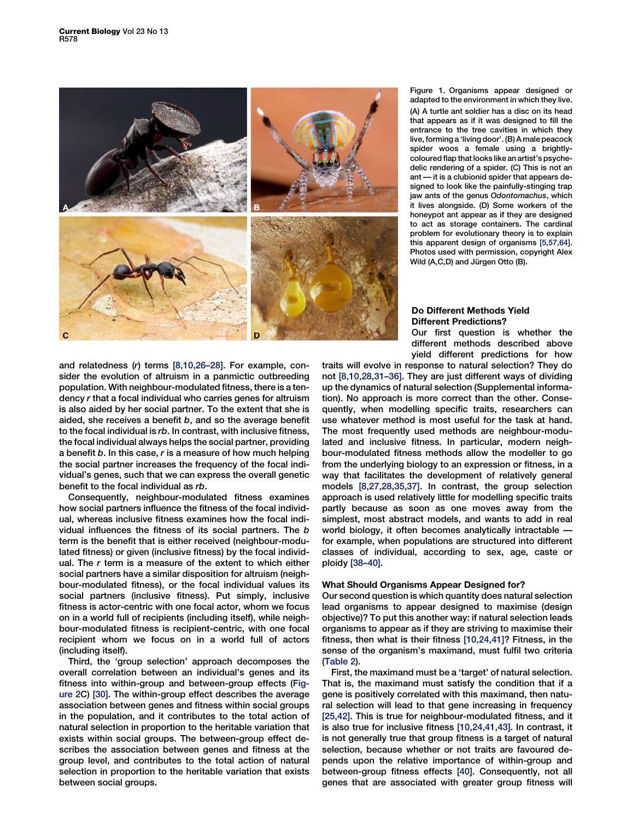<span id="page-1-0"></span>

and relatedness (r) terms [\[8,10,26–28\].](#page-6-0) For example, consider the evolution of altruism in a panmictic outbreeding population. With neighbour-modulated fitness, there is a tendency r that a focal individual who carries genes for altruism is also aided by her social partner. To the extent that she is aided, she receives a benefit  $b$ , and so the average benefit to the focal individual is rb. In contrast, with inclusive fitness, the focal individual always helps the social partner, providing a benefit b. In this case, r is a measure of how much helping the social partner increases the frequency of the focal individual's genes, such that we can express the overall genetic benefit to the focal individual as rb.

Consequently, neighbour-modulated fitness examines how social partners influence the fitness of the focal individual, whereas inclusive fitness examines how the focal individual influences the fitness of its social partners. The b term is the benefit that is either received (neighbour-modulated fitness) or given (inclusive fitness) by the focal individual. The  $r$  term is a measure of the extent to which either social partners have a similar disposition for altruism (neighbour-modulated fitness), or the focal individual values its social partners (inclusive fitness). Put simply, inclusive fitness is actor-centric with one focal actor, whom we focus on in a world full of recipients (including itself), while neighbour-modulated fitness is recipient-centric, with one focal recipient whom we focus on in a world full of actors (including itself).

Third, the 'group selection' approach decomposes the overall correlation between an individual's genes and its fitness into within-group and between-group effects ([Fig](#page-3-0)[ure 2C](#page-3-0)) [\[30\]](#page-6-0). The within-group effect describes the average association between genes and fitness within social groups in the population, and it contributes to the total action of natural selection in proportion to the heritable variation that exists within social groups. The between-group effect describes the association between genes and fitness at the group level, and contributes to the total action of natural selection in proportion to the heritable variation that exists between social groups.

### Figure 1. Organisms appear designed or adapted to the environment in which they live.

(A) A turtle ant soldier has a disc on its head that appears as if it was designed to fill the entrance to the tree cavities in which they live, forming a 'living door'. (B) A male peacock spider woos a female using a brightlycoloured flap that looks like an artist's psychedelic rendering of a spider. (C) This is not an ant — it is a clubionid spider that appears designed to look like the painfully-stinging trap jaw ants of the genus Odontomachus, which it lives alongside. (D) Some workers of the honeypot ant appear as if they are designed to act as storage containers. The cardinal problem for evolutionary theory is to explain this apparent design of organisms [\[5,57,64\]](#page-6-0). Photos used with permission, copyright Alex Wild (A,C,D) and Jürgen Otto (B).

### Do Different Methods Yield Different Predictions?

Our first question is whether the different methods described above yield different predictions for how

traits will evolve in response to natural selection? They do not [\[8,10,28,31–36\].](#page-6-0) They are just different ways of dividing up the dynamics of natural selection (Supplemental information). No approach is more correct than the other. Consequently, when modelling specific traits, researchers can use whatever method is most useful for the task at hand. The most frequently used methods are neighbour-modulated and inclusive fitness. In particular, modern neighbour-modulated fitness methods allow the modeller to go from the underlying biology to an expression or fitness, in a way that facilitates the development of relatively general models [\[8,27,28,35,37\].](#page-6-0) In contrast, the group selection approach is used relatively little for modelling specific traits partly because as soon as one moves away from the simplest, most abstract models, and wants to add in real world biology, it often becomes analytically intractable for example, when populations are structured into different classes of individual, according to sex, age, caste or ploidy [\[38–40\]](#page-6-0).

#### What Should Organisms Appear Designed for?

Our second question is which quantity does natural selection lead organisms to appear designed to maximise (design objective)? To put this another way: if natural selection leads organisms to appear as if they are striving to maximise their fitness, then what is their fitness [\[10,24,41\]?](#page-6-0) Fitness, in the sense of the organism's maximand, must fulfil two criteria ([Table 2](#page-3-0)).

First, the maximand must be a 'target' of natural selection. That is, the maximand must satisfy the condition that if a gene is positively correlated with this maximand, then natural selection will lead to that gene increasing in frequency [\[25,42\]](#page-6-0). This is true for neighbour-modulated fitness, and it is also true for inclusive fitness [\[10,24,41,43\]](#page-6-0). In contrast, it is not generally true that group fitness is a target of natural selection, because whether or not traits are favoured depends upon the relative importance of within-group and between-group fitness effects [\[40\].](#page-6-0) Consequently, not all genes that are associated with greater group fitness will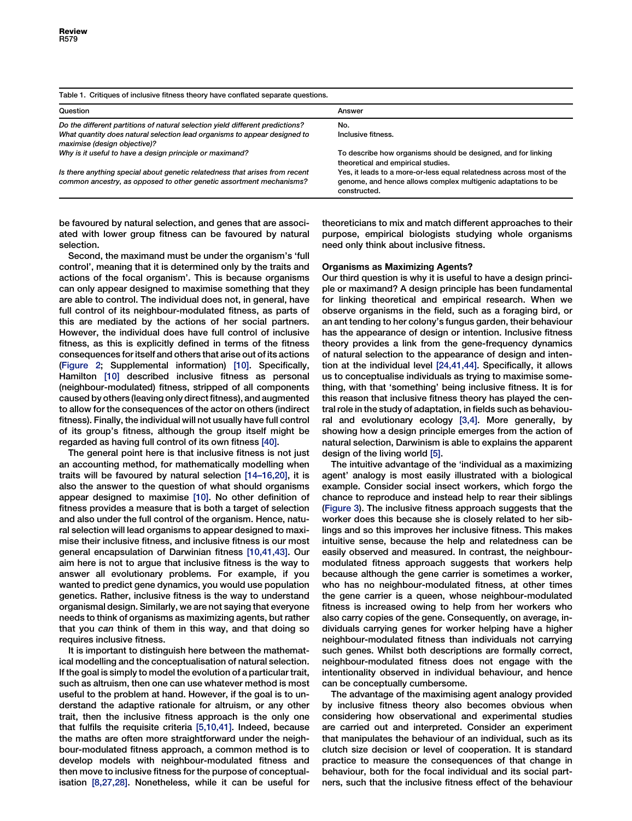<span id="page-2-0"></span>

| Table 1. Critiques of inclusive fitness theory have conflated separate questions.                                                                  |                                                                                                                                                       |  |
|----------------------------------------------------------------------------------------------------------------------------------------------------|-------------------------------------------------------------------------------------------------------------------------------------------------------|--|
| Question                                                                                                                                           | Answer                                                                                                                                                |  |
| Do the different partitions of natural selection yield different predictions?                                                                      | No.                                                                                                                                                   |  |
| What quantity does natural selection lead organisms to appear designed to<br>maximise (design objective)?                                          | Inclusive fitness.                                                                                                                                    |  |
| Why is it useful to have a design principle or maximand?                                                                                           | To describe how organisms should be designed, and for linking<br>theoretical and empirical studies.                                                   |  |
| Is there anything special about genetic relatedness that arises from recent<br>common ancestry, as opposed to other genetic assortment mechanisms? | Yes, it leads to a more-or-less equal relatedness across most of the<br>genome, and hence allows complex multigenic adaptations to be<br>constructed. |  |

be favoured by natural selection, and genes that are associated with lower group fitness can be favoured by natural selection.

Second, the maximand must be under the organism's 'full control', meaning that it is determined only by the traits and actions of the focal organism'. This is because organisms can only appear designed to maximise something that they are able to control. The individual does not, in general, have full control of its neighbour-modulated fitness, as parts of this are mediated by the actions of her social partners. However, the individual does have full control of inclusive fitness, as this is explicitly defined in terms of the fitness consequences for itself and others that arise out of its actions ([Figure 2](#page-3-0); Supplemental information) [\[10\].](#page-6-0) Specifically, Hamilton [\[10\]](#page-6-0) described inclusive fitness as personal (neighbour-modulated) fitness, stripped of all components caused by others (leaving only direct fitness), and augmented to allow for the consequences of the actor on others (indirect fitness). Finally, the individual will not usually have full control of its group's fitness, although the group itself might be regarded as having full control of its own fitness [\[40\]](#page-6-0).

The general point here is that inclusive fitness is not just an accounting method, for mathematically modelling when traits will be favoured by natural selection [\[14–16,20\]](#page-6-0), it is also the answer to the question of what should organisms appear designed to maximise [\[10\]](#page-6-0). No other definition of fitness provides a measure that is both a target of selection and also under the full control of the organism. Hence, natural selection will lead organisms to appear designed to maximise their inclusive fitness, and inclusive fitness is our most general encapsulation of Darwinian fitness [\[10,41,43\].](#page-6-0) Our aim here is not to argue that inclusive fitness is the way to answer all evolutionary problems. For example, if you wanted to predict gene dynamics, you would use population genetics. Rather, inclusive fitness is the way to understand organismal design. Similarly, we are not saying that everyone needs to think of organisms as maximizing agents, but rather that you can think of them in this way, and that doing so requires inclusive fitness.

It is important to distinguish here between the mathematical modelling and the conceptualisation of natural selection. If the goal is simply to model the evolution of a particular trait, such as altruism, then one can use whatever method is most useful to the problem at hand. However, if the goal is to understand the adaptive rationale for altruism, or any other trait, then the inclusive fitness approach is the only one that fulfils the requisite criteria [\[5,10,41\]](#page-6-0). Indeed, because the maths are often more straightforward under the neighbour-modulated fitness approach, a common method is to develop models with neighbour-modulated fitness and then move to inclusive fitness for the purpose of conceptualisation [\[8,27,28\].](#page-6-0) Nonetheless, while it can be useful for theoreticians to mix and match different approaches to their purpose, empirical biologists studying whole organisms need only think about inclusive fitness.

#### Organisms as Maximizing Agents?

Our third question is why it is useful to have a design principle or maximand? A design principle has been fundamental for linking theoretical and empirical research. When we observe organisms in the field, such as a foraging bird, or an ant tending to her colony's fungus garden, their behaviour has the appearance of design or intention. Inclusive fitness theory provides a link from the gene-frequency dynamics of natural selection to the appearance of design and intention at the individual level [\[24,41,44\]](#page-6-0). Specifically, it allows us to conceptualise individuals as trying to maximise something, with that 'something' being inclusive fitness. It is for this reason that inclusive fitness theory has played the central role in the study of adaptation, in fields such as behavioural and evolutionary ecology [\[3,4\].](#page-6-0) More generally, by showing how a design principle emerges from the action of natural selection, Darwinism is able to explains the apparent design of the living world [\[5\].](#page-6-0)

The intuitive advantage of the 'individual as a maximizing agent' analogy is most easily illustrated with a biological example. Consider social insect workers, which forgo the chance to reproduce and instead help to rear their siblings ([Figure](#page-4-0) 3). The inclusive fitness approach suggests that the worker does this because she is closely related to her siblings and so this improves her inclusive fitness. This makes intuitive sense, because the help and relatedness can be easily observed and measured. In contrast, the neighbourmodulated fitness approach suggests that workers help because although the gene carrier is sometimes a worker, who has no neighbour-modulated fitness, at other times the gene carrier is a queen, whose neighbour-modulated fitness is increased owing to help from her workers who also carry copies of the gene. Consequently, on average, individuals carrying genes for worker helping have a higher neighbour-modulated fitness than individuals not carrying such genes. Whilst both descriptions are formally correct, neighbour-modulated fitness does not engage with the intentionality observed in individual behaviour, and hence can be conceptually cumbersome.

The advantage of the maximising agent analogy provided by inclusive fitness theory also becomes obvious when considering how observational and experimental studies are carried out and interpreted. Consider an experiment that manipulates the behaviour of an individual, such as its clutch size decision or level of cooperation. It is standard practice to measure the consequences of that change in behaviour, both for the focal individual and its social partners, such that the inclusive fitness effect of the behaviour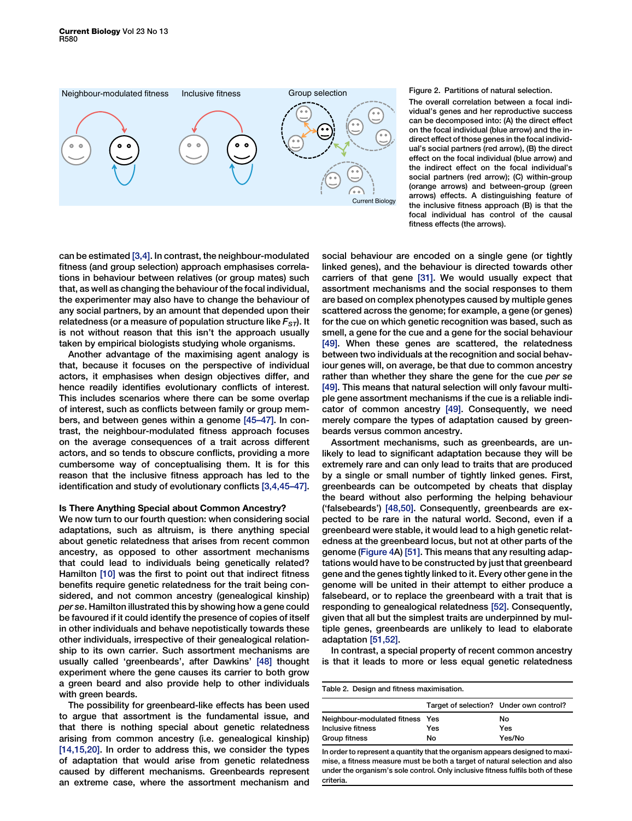<span id="page-3-0"></span>

#### Figure 2. Partitions of natural selection.

The overall correlation between a focal individual's genes and her reproductive success can be decomposed into: (A) the direct effect on the focal individual (blue arrow) and the indirect effect of those genes in the focal individual's social partners (red arrow), (B) the direct effect on the focal individual (blue arrow) and the indirect effect on the focal individual's social partners (red arrow); (C) within-group (orange arrows) and between-group (green arrows) effects. A distinguishing feature of the inclusive fitness approach (B) is that the focal individual has control of the causal fitness effects (the arrows).

can be estimated [\[3,4\]](#page-6-0). In contrast, the neighbour-modulated fitness (and group selection) approach emphasises correlations in behaviour between relatives (or group mates) such that, as well as changing the behaviour of the focal individual, the experimenter may also have to change the behaviour of any social partners, by an amount that depended upon their relatedness (or a measure of population structure like  $F_{ST}$ ). It is not without reason that this isn't the approach usually taken by empirical biologists studying whole organisms.

Another advantage of the maximising agent analogy is that, because it focuses on the perspective of individual actors, it emphasises when design objectives differ, and hence readily identifies evolutionary conflicts of interest. This includes scenarios where there can be some overlap of interest, such as conflicts between family or group members, and between genes within a genome [\[45–47\]](#page-6-0). In contrast, the neighbour-modulated fitness approach focuses on the average consequences of a trait across different actors, and so tends to obscure conflicts, providing a more cumbersome way of conceptualising them. It is for this reason that the inclusive fitness approach has led to the identification and study of evolutionary conflicts [\[3,4,45–47\]](#page-6-0).

#### Is There Anything Special about Common Ancestry?

We now turn to our fourth question: when considering social adaptations, such as altruism, is there anything special about genetic relatedness that arises from recent common ancestry, as opposed to other assortment mechanisms that could lead to individuals being genetically related? Hamilton [\[10\]](#page-6-0) was the first to point out that indirect fitness benefits require genetic relatedness for the trait being considered, and not common ancestry (genealogical kinship) per se. Hamilton illustrated this by showing how a gene could be favoured if it could identify the presence of copies of itself in other individuals and behave nepotistically towards these other individuals, irrespective of their genealogical relationship to its own carrier. Such assortment mechanisms are usually called 'greenbeards', after Dawkins' [\[48\]](#page-6-0) thought experiment where the gene causes its carrier to both grow a green beard and also provide help to other individuals with green beards.

The possibility for greenbeard-like effects has been used to argue that assortment is the fundamental issue, and that there is nothing special about genetic relatedness arising from common ancestry (i.e. genealogical kinship) [\[14,15,20\]](#page-6-0). In order to address this, we consider the types of adaptation that would arise from genetic relatedness caused by different mechanisms. Greenbeards represent an extreme case, where the assortment mechanism and

social behaviour are encoded on a single gene (or tightly linked genes), and the behaviour is directed towards other carriers of that gene [\[31\]](#page-6-0). We would usually expect that assortment mechanisms and the social responses to them are based on complex phenotypes caused by multiple genes scattered across the genome; for example, a gene (or genes) for the cue on which genetic recognition was based, such as smell, a gene for the cue and a gene for the social behaviour [\[49\]](#page-6-0). When these genes are scattered, the relatedness between two individuals at the recognition and social behaviour genes will, on average, be that due to common ancestry rather than whether they share the gene for the cue per se [\[49\]](#page-6-0). This means that natural selection will only favour multiple gene assortment mechanisms if the cue is a reliable indicator of common ancestry [\[49\]](#page-6-0). Consequently, we need merely compare the types of adaptation caused by greenbeards versus common ancestry.

Assortment mechanisms, such as greenbeards, are unlikely to lead to significant adaptation because they will be extremely rare and can only lead to traits that are produced by a single or small number of tightly linked genes. First, greenbeards can be outcompeted by cheats that display the beard without also performing the helping behaviour ('falsebeards') [\[48,50\].](#page-6-0) Consequently, greenbeards are expected to be rare in the natural world. Second, even if a greenbeard were stable, it would lead to a high genetic relatedness at the greenbeard locus, but not at other parts of the genome [\(Figure 4](#page-4-0)A) [\[51\]](#page-6-0). This means that any resulting adaptations would have to be constructed by just that greenbeard gene and the genes tightly linked to it. Every other gene in the genome will be united in their attempt to either produce a falsebeard, or to replace the greenbeard with a trait that is responding to genealogical relatedness [\[52\].](#page-6-0) Consequently, given that all but the simplest traits are underpinned by multiple genes, greenbeards are unlikely to lead to elaborate adaptation [\[51,52\].](#page-6-0)

In contrast, a special property of recent common ancestry is that it leads to more or less equal genetic relatedness

Table 2. Design and fitness maximisation.

|                                 |     | Target of selection? Under own control? |
|---------------------------------|-----|-----------------------------------------|
| Neighbour-modulated fitness Yes |     | No                                      |
| Inclusive fitness               | Yes | Yes                                     |
| Group fitness                   | No  | Yes/No                                  |

In order to represent a quantity that the organism appears designed to maximise, a fitness measure must be both a target of natural selection and also under the organism's sole control. Only inclusive fitness fulfils both of these criteria.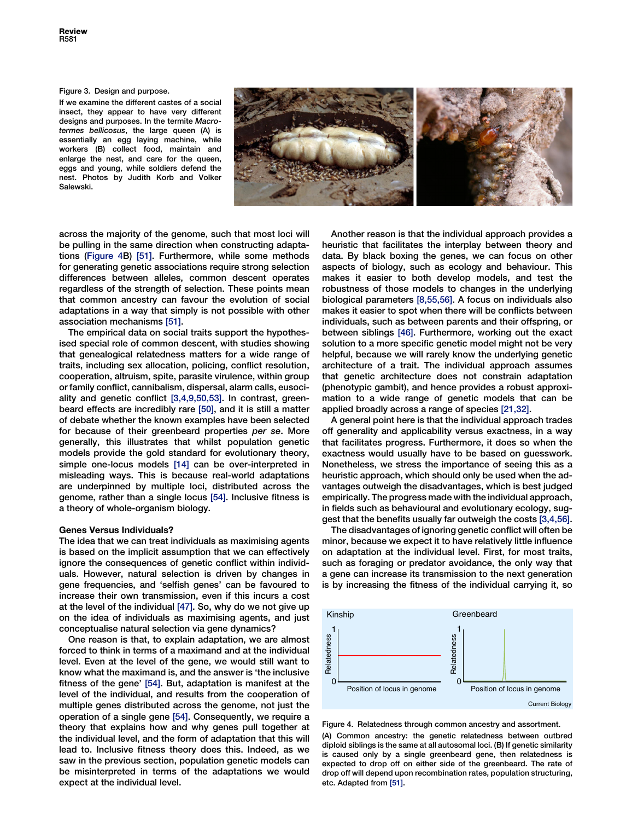<span id="page-4-0"></span>Figure 3. Design and purpose.

If we examine the different castes of a social insect, they appear to have very different designs and purposes. In the termite Macrotermes bellicosus, the large queen (A) is essentially an egg laying machine, while workers (B) collect food, maintain and enlarge the nest, and care for the queen, eggs and young, while soldiers defend the nest. Photos by Judith Korb and Volker Salewski.



across the majority of the genome, such that most loci will be pulling in the same direction when constructing adaptations (Figure 4B) [\[51\]](#page-6-0). Furthermore, while some methods for generating genetic associations require strong selection differences between alleles, common descent operates regardless of the strength of selection. These points mean that common ancestry can favour the evolution of social adaptations in a way that simply is not possible with other association mechanisms [\[51\].](#page-6-0)

The empirical data on social traits support the hypothesised special role of common descent, with studies showing that genealogical relatedness matters for a wide range of traits, including sex allocation, policing, conflict resolution, cooperation, altruism, spite, parasite virulence, within group or family conflict, cannibalism, dispersal, alarm calls, eusociality and genetic conflict [\[3,4,9,50,53\].](#page-6-0) In contrast, greenbeard effects are incredibly rare [\[50\]](#page-6-0), and it is still a matter of debate whether the known examples have been selected for because of their greenbeard properties per se. More generally, this illustrates that whilst population genetic models provide the gold standard for evolutionary theory, simple one-locus models [\[14\]](#page-6-0) can be over-interpreted in misleading ways. This is because real-world adaptations are underpinned by multiple loci, distributed across the genome, rather than a single locus [\[54\].](#page-6-0) Inclusive fitness is a theory of whole-organism biology.

#### Genes Versus Individuals?

The idea that we can treat individuals as maximising agents is based on the implicit assumption that we can effectively ignore the consequences of genetic conflict within individuals. However, natural selection is driven by changes in gene frequencies, and 'selfish genes' can be favoured to increase their own transmission, even if this incurs a cost at the level of the individual  $[47]$ . So, why do we not give up on the idea of individuals as maximising agents, and just conceptualise natural selection via gene dynamics?

One reason is that, to explain adaptation, we are almost forced to think in terms of a maximand and at the individual level. Even at the level of the gene, we would still want to know what the maximand is, and the answer is 'the inclusive fitness of the gene' [\[54\]](#page-6-0). But, adaptation is manifest at the level of the individual, and results from the cooperation of multiple genes distributed across the genome, not just the operation of a single gene [\[54\]](#page-6-0). Consequently, we require a theory that explains how and why genes pull together at the individual level, and the form of adaptation that this will lead to. Inclusive fitness theory does this. Indeed, as we saw in the previous section, population genetic models can be misinterpreted in terms of the adaptations we would expect at the individual level.

Another reason is that the individual approach provides a heuristic that facilitates the interplay between theory and data. By black boxing the genes, we can focus on other aspects of biology, such as ecology and behaviour. This makes it easier to both develop models, and test the robustness of those models to changes in the underlying biological parameters [\[8,55,56\]](#page-6-0). A focus on individuals also makes it easier to spot when there will be conflicts between individuals, such as between parents and their offspring, or between siblings [\[46\].](#page-6-0) Furthermore, working out the exact solution to a more specific genetic model might not be very helpful, because we will rarely know the underlying genetic architecture of a trait. The individual approach assumes that genetic architecture does not constrain adaptation (phenotypic gambit), and hence provides a robust approximation to a wide range of genetic models that can be applied broadly across a range of species [\[21,32\]](#page-6-0).

A general point here is that the individual approach trades off generality and applicability versus exactness, in a way that facilitates progress. Furthermore, it does so when the exactness would usually have to be based on guesswork. Nonetheless, we stress the importance of seeing this as a heuristic approach, which should only be used when the advantages outweigh the disadvantages, which is best judged empirically. The progress made with the individual approach, in fields such as behavioural and evolutionary ecology, suggest that the benefits usually far outweigh the costs [\[3,4,56\]](#page-6-0).

The disadvantages of ignoring genetic conflict will often be minor, because we expect it to have relatively little influence on adaptation at the individual level. First, for most traits, such as foraging or predator avoidance, the only way that a gene can increase its transmission to the next generation is by increasing the fitness of the individual carrying it, so



Figure 4. Relatedness through common ancestry and assortment.

(A) Common ancestry: the genetic relatedness between outbred diploid siblings is the same at all autosomal loci. (B) If genetic similarity is caused only by a single greenbeard gene, then relatedness is expected to drop off on either side of the greenbeard. The rate of drop off will depend upon recombination rates, population structuring, etc. Adapted from [\[51\].](#page-6-0)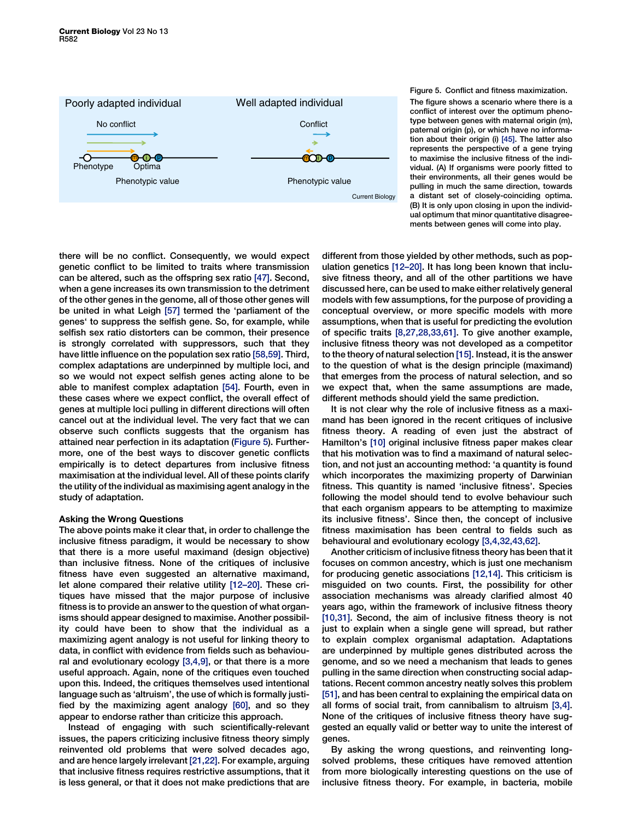

Figure 5. Conflict and fitness maximization. The figure shows a scenario where there is a conflict of interest over the optimum phenotype between genes with maternal origin (m), paternal origin (p), or which have no information about their origin (i) [\[45\]](#page-6-0). The latter also represents the perspective of a gene trying to maximise the inclusive fitness of the individual. (A) If organisms were poorly fitted to their environments, all their genes would be pulling in much the same direction, towards a distant set of closely-coinciding optima. (B) It is only upon closing in upon the individual optimum that minor quantitative disagreements between genes will come into play.

there will be no conflict. Consequently, we would expect genetic conflict to be limited to traits where transmission can be altered, such as the offspring sex ratio [\[47\]](#page-6-0). Second, when a gene increases its own transmission to the detriment of the other genes in the genome, all of those other genes will be united in what Leigh [\[57\]](#page-7-0) termed the 'parliament of the genes' to suppress the selfish gene. So, for example, while selfish sex ratio distorters can be common, their presence is strongly correlated with suppressors, such that they have little influence on the population sex ratio [\[58,59\]](#page-7-0). Third, complex adaptations are underpinned by multiple loci, and so we would not expect selfish genes acting alone to be able to manifest complex adaptation [\[54\].](#page-6-0) Fourth, even in these cases where we expect conflict, the overall effect of genes at multiple loci pulling in different directions will often cancel out at the individual level. The very fact that we can observe such conflicts suggests that the organism has attained near perfection in its adaptation (Figure 5). Furthermore, one of the best ways to discover genetic conflicts empirically is to detect departures from inclusive fitness maximisation at the individual level. All of these points clarify the utility of the individual as maximising agent analogy in the study of adaptation.

#### Asking the Wrong Questions

The above points make it clear that, in order to challenge the inclusive fitness paradigm, it would be necessary to show that there is a more useful maximand (design objective) than inclusive fitness. None of the critiques of inclusive fitness have even suggested an alternative maximand, let alone compared their relative utility [\[12–20\]](#page-6-0). These critiques have missed that the major purpose of inclusive fitness is to provide an answer to the question of what organisms should appear designed to maximise. Another possibility could have been to show that the individual as a maximizing agent analogy is not useful for linking theory to data, in conflict with evidence from fields such as behavioural and evolutionary ecology  $[3,4,9]$ , or that there is a more useful approach. Again, none of the critiques even touched upon this. Indeed, the critiques themselves used intentional language such as 'altruism', the use of which is formally justified by the maximizing agent analogy [\[60\],](#page-7-0) and so they appear to endorse rather than criticize this approach.

Instead of engaging with such scientifically-relevant issues, the papers criticizing inclusive fitness theory simply reinvented old problems that were solved decades ago, and are hence largely irrelevant [\[21,22\].](#page-6-0) For example, arguing that inclusive fitness requires restrictive assumptions, that it is less general, or that it does not make predictions that are

different from those yielded by other methods, such as population genetics [\[12–20\].](#page-6-0) It has long been known that inclusive fitness theory, and all of the other partitions we have discussed here, can be used to make either relatively general models with few assumptions, for the purpose of providing a conceptual overview, or more specific models with more assumptions, when that is useful for predicting the evolution of specific traits [\[8,27,28,33,61\].](#page-6-0) To give another example, inclusive fitness theory was not developed as a competitor to the theory of natural selection [\[15\]](#page-6-0). Instead, it is the answer to the question of what is the design principle (maximand) that emerges from the process of natural selection, and so we expect that, when the same assumptions are made, different methods should yield the same prediction.

It is not clear why the role of inclusive fitness as a maximand has been ignored in the recent critiques of inclusive fitness theory. A reading of even just the abstract of Hamilton's [\[10\]](#page-6-0) original inclusive fitness paper makes clear that his motivation was to find a maximand of natural selection, and not just an accounting method: 'a quantity is found which incorporates the maximizing property of Darwinian fitness. This quantity is named 'inclusive fitness'. Species following the model should tend to evolve behaviour such that each organism appears to be attempting to maximize its inclusive fitness'. Since then, the concept of inclusive fitness maximisation has been central to fields such as behavioural and evolutionary ecology [\[3,4,32,43,62\].](#page-6-0)

Another criticism of inclusive fitness theory has been that it focuses on common ancestry, which is just one mechanism for producing genetic associations [\[12,14\].](#page-6-0) This criticism is misguided on two counts. First, the possibility for other association mechanisms was already clarified almost 40 years ago, within the framework of inclusive fitness theory [\[10,31\]](#page-6-0). Second, the aim of inclusive fitness theory is not just to explain when a single gene will spread, but rather to explain complex organismal adaptation. Adaptations are underpinned by multiple genes distributed across the genome, and so we need a mechanism that leads to genes pulling in the same direction when constructing social adaptations. Recent common ancestry neatly solves this problem [\[51\]](#page-6-0), and has been central to explaining the empirical data on all forms of social trait, from cannibalism to altruism [\[3,4\]](#page-6-0). None of the critiques of inclusive fitness theory have suggested an equally valid or better way to unite the interest of genes.

By asking the wrong questions, and reinventing longsolved problems, these critiques have removed attention from more biologically interesting questions on the use of inclusive fitness theory. For example, in bacteria, mobile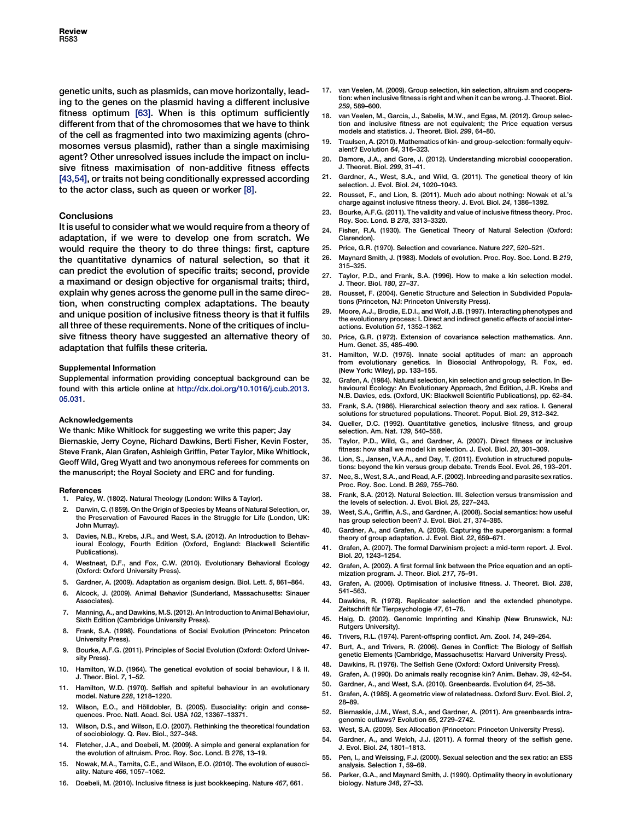<span id="page-6-0"></span>genetic units, such as plasmids, can move horizontally, leading to the genes on the plasmid having a different inclusive fitness optimum [\[63\].](#page-7-0) When is this optimum sufficiently different from that of the chromosomes that we have to think of the cell as fragmented into two maximizing agents (chromosomes versus plasmid), rather than a single maximising agent? Other unresolved issues include the impact on inclusive fitness maximisation of non-additive fitness effects [43,54], or traits not being conditionally expressed according to the actor class, such as queen or worker [8].

#### **Conclusions**

It is useful to consider what we would require from a theory of adaptation, if we were to develop one from scratch. We would require the theory to do three things: first, capture the quantitative dynamics of natural selection, so that it can predict the evolution of specific traits; second, provide a maximand or design objective for organismal traits; third, explain why genes across the genome pull in the same direction, when constructing complex adaptations. The beauty and unique position of inclusive fitness theory is that it fulfils all three of these requirements. None of the critiques of inclusive fitness theory have suggested an alternative theory of adaptation that fulfils these criteria.

#### Supplemental Information

Supplemental information providing conceptual background can be found with this article online at [http://dx.doi.org/10.1016/j.cub.2013.](http://dx.doi.org/10.1016/j.cub.2013.05.031) [05.031](http://dx.doi.org/10.1016/j.cub.2013.05.031).

#### Acknowledgements

We thank: Mike Whitlock for suggesting we write this paper; Jay Biernaskie, Jerry Coyne, Richard Dawkins, Berti Fisher, Kevin Foster, Steve Frank, Alan Grafen, Ashleigh Griffin, Peter Taylor, Mike Whitlock, Geoff Wild, Greg Wyatt and two anonymous referees for comments on the manuscript; the Royal Society and ERC and for funding.

#### **References**

- 1. Paley, W. (1802). Natural Theology (London: Wilks & Taylor).
- 2. Darwin, C. (1859). On the Origin of Species by Means of Natural Selection, or, the Preservation of Favoured Races in the Struggle for Life (London, UK: John Murray).
- 3. Davies, N.B., Krebs, J.R., and West, S.A. (2012). An Introduction to Behavioural Ecology, Fourth Edition (Oxford, England: Blackwell Scientific Publications).
- Westneat, D.F., and Fox, C.W. (2010). Evolutionary Behavioral Ecology (Oxford: Oxford University Press).
- 5. Gardner, A. (2009). Adaptation as organism design. Biol. Lett. 5, 861–864.
- 6. Alcock, J. (2009). Animal Behavior (Sunderland, Massachusetts: Sinauer Associates).
- 7. Manning, A., and Dawkins, M.S. (2012). An Introduction to Animal Behavioiur, Sixth Edition (Cambridge University Press).
- 8. Frank, S.A. (1998). Foundations of Social Evolution (Princeton: Princeton University Press).
- 9. Bourke, A.F.G. (2011). Principles of Social Evolution (Oxford: Oxford University Press).
- 10. Hamilton, W.D. (1964). The genetical evolution of social behaviour, I & II. J. Theor. Biol. 7, 1–52.
- 11. Hamilton, W.D. (1970). Selfish and spiteful behaviour in an evolutionary model. Nature 228, 1218–1220.
- 12. Wilson, E.O., and Hölldobler, B. (2005). Eusociality: origin and consequences. Proc. Natl. Acad. Sci. USA 102, 13367–13371.
- 13. Wilson, D.S., and Wilson, E.O. (2007). Rethinking the theoretical foundation of sociobiology. Q. Rev. Biol., 327–348.
- 14. Fletcher, J.A., and Doebeli, M. (2009). A simple and general explanation for the evolution of altruism. Proc. Roy. Soc. Lond. B 276, 13–19.
- 15. Nowak, M.A., Tarnita, C.E., and Wilson, E.O. (2010). The evolution of eusociality. Nature 466, 1057–1062.
- 16. Doebeli, M. (2010). Inclusive fitness is just bookkeeping. Nature 467, 661.
- 17. van Veelen, M. (2009). Group selection, kin selection, altruism and cooperation: when inclusive fitness is right and when it can be wrong. J. Theoret. Biol. 259, 589–600.
- 18. van Veelen, M., Garcia, J., Sabelis, M.W., and Egas, M. (2012). Group selection and inclusive fitness are not equivalent; the Price equation versus models and statistics. J. Theoret. Biol. 299, 64–80.
- 19. Traulsen, A. (2010). Mathematics of kin- and group-selection: formally equivalent? Evolution 64, 316–323.
- 20. Damore, J.A., and Gore, J. (2012). Understanding microbial coooperation. J. Theoret. Biol. 299, 31–41.
- 21. Gardner, A., West, S.A., and Wild, G. (2011). The genetical theory of kin selection. J. Evol. Biol. 24, 1020–1043.
- 22. Rousset, F., and Lion, S. (2011). Much ado about nothing: Nowak et al.'s charge against inclusive fitness theory. J. Evol. Biol. 24, 1386–1392.
- 23. Bourke, A.F.G. (2011). The validity and value of inclusive fitness theory. Proc. Roy. Soc. Lond. B 278, 3313–3320.
- 24. Fisher, R.A. (1930). The Genetical Theory of Natural Selection (Oxford: Clarendon).
- 25. Price, G.R. (1970). Selection and covariance. Nature 227, 520–521.
- 26. Maynard Smith, J. (1983). Models of evolution. Proc. Roy. Soc. Lond. B 219, 315–325.
- 27. Taylor, P.D., and Frank, S.A. (1996). How to make a kin selection model. J. Theor. Biol. 180, 27–37.
- 28. Rousset, F. (2004). Genetic Structure and Selection in Subdivided Populations (Princeton, NJ: Princeton University Press).
- Moore, A.J., Brodie, E.D.I., and Wolf, J.B. (1997). Interacting phenotypes and the evolutionary process: I. Direct and indirect genetic effects of social interactions. Evolution 51, 1352–1362.
- 30. Price, G.R. (1972). Extension of covariance selection mathematics. Ann. Hum. Genet. 35, 485–490.
- 31. Hamilton, W.D. (1975). Innate social aptitudes of man: an approach from evolutionary genetics. In Biosocial Anthropology, R. Fox, ed. (New York: Wiley), pp. 133–155.
- 32. Grafen, A. (1984). Natural selection, kin selection and group selection. In Behavioural Ecology: An Evolutionary Approach, 2nd Edition, J.R. Krebs and N.B. Davies, eds. (Oxford, UK: Blackwell Scientific Publications), pp. 62–84.
- 33. Frank, S.A. (1986). Hierarchical selection theory and sex ratios. I. General solutions for structured populations. Theoret. Popul. Biol. 29, 312–342.
- 34. Queller, D.C. (1992). Quantitative genetics, inclusive fitness, and group selection. Am. Nat. 139, 540–558.
- 35. Taylor, P.D., Wild, G., and Gardner, A. (2007). Direct fitness or inclusive fitness: how shall we model kin selection. J. Evol. Biol. 20, 301–309.
- 36. Lion, S., Jansen, V.A.A., and Day, T. (2011). Evolution in structured populations: beyond the kin versus group debate. Trends Ecol. Evol. 26, 193–201.
- 37. Nee, S., West, S.A., and Read, A.F. (2002). Inbreeding and parasite sex ratios. Proc. Roy. Soc. Lond. B 269, 755–760.
- 38. Frank, S.A. (2012). Natural Selection. III. Selection versus transmission and the levels of selection. J. Evol. Biol. 25, 227–243.
- 39. West, S.A., Griffin, A.S., and Gardner, A. (2008). Social semantics: how useful has group selection been? J. Evol. Biol. 21, 374–385.
- 40. Gardner, A., and Grafen, A. (2009). Capturing the superorganism: a formal theory of group adaptation. J. Evol. Biol. 22, 659–671.
- 41. Grafen, A. (2007). The formal Darwinism project: a mid-term report. J. Evol. Biol. 20, 1243–1254.
- 42. Grafen, A. (2002). A first formal link between the Price equation and an optimization program. J. Theor. Biol. 217, 75–91.
- 43. Grafen, A. (2006). Optimisation of inclusive fitness. J. Theoret. Biol. 238, 541–563.
- 44. Dawkins, R. (1978). Replicator selection and the extended phenotype. Zeitschrift für Tierpsychologie 47, 61-76.
- 45. Haig, D. (2002). Genomic Imprinting and Kinship (New Brunswick, NJ: Rutgers University).
- 46. Trivers, R.L. (1974). Parent-offspring conflict. Am. Zool. 14, 249–264.
- 47. Burt, A., and Trivers, R. (2006). Genes in Conflict: The Biology of Selfish genetic Elements (Cambridge, Massachusetts: Harvard University Press).
- 48. Dawkins, R. (1976). The Selfish Gene (Oxford: Oxford University Press).
- 49. Grafen, A. (1990). Do animals really recognise kin? Anim. Behav. 39, 42–54.
- 50. Gardner, A., and West, S.A. (2010). Greenbeards. Evolution 64, 25–38.
- 51. Grafen, A. (1985). A geometric view of relatedness. Oxford Surv. Evol. Biol. 2, 28–89.
- 52. Biernaskie, J.M., West, S.A., and Gardner, A. (2011). Are greenbeards intragenomic outlaws? Evolution 65, 2729–2742.
- 53. West, S.A. (2009). Sex Allocation (Princeton: Princeton University Press).
- 54. Gardner, A., and Welch, J.J. (2011). A formal theory of the selfish gene. J. Evol. Biol. 24, 1801–1813.
- 55. Pen, I., and Weissing, F.J. (2000). Sexual selection and the sex ratio: an ESS analysis. Selection 1, 59-69.
- 56. Parker, G.A., and Maynard Smith, J. (1990). Optimality theory in evolutionary biology. Nature 348, 27–33.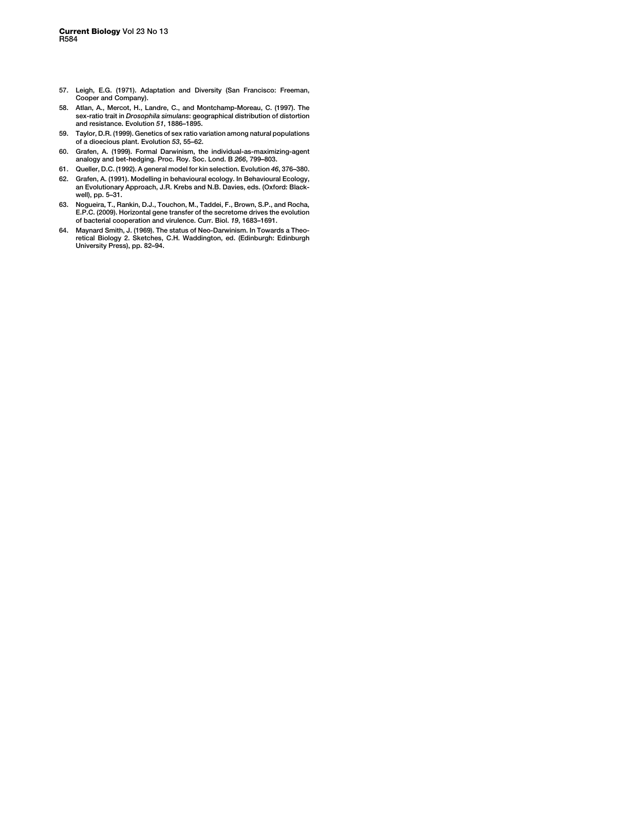- <span id="page-7-0"></span>57. Leigh, E.G. (1971). Adaptation and Diversity (San Francisco: Freeman, Cooper and Company).
- 58. Atlan, A., Mercot, H., Landre, C., and Montchamp-Moreau, C. (1997). The sex-ratio trait in *Drosophila simulans*: geographical distribution of distortion<br>and resistance. Evolution 51, 1886–1895.
- 59. Taylor, D.R. (1999). Genetics of sex ratio variation among natural populations of a dioecious plant. Evolution 53, 55–62.
- 60. Grafen, A. (1999). Formal Darwinism, the individual-as-maximizing-agent analogy and bet-hedging. Proc. Roy. Soc. Lond. B 266, 799–803.
- 61. Queller, D.C. (1992). A general model for kin selection. Evolution 46, 376–380.
- 62. Grafen, A. (1991). Modelling in behavioural ecology. In Behavioural Ecology, an Evolutionary Approach, J.R. Krebs and N.B. Davies, eds. (Oxford: Blackwell), pp. 5–31.
- 63. Nogueira, T., Rankin, D.J., Touchon, M., Taddei, F., Brown, S.P., and Rocha, E.P.C. (2009). Horizontal gene transfer of the secretome drives the evolution of bacterial cooperation and virulence. Curr. Biol. 19, 1683–1691.
- 64. Maynard Smith, J. (1969). The status of Neo-Darwinism. In Towards a Theoretical Biology 2. Sketches, C.H. Waddington, ed. (Edinburgh: Edinburgh University Press), pp. 82–94.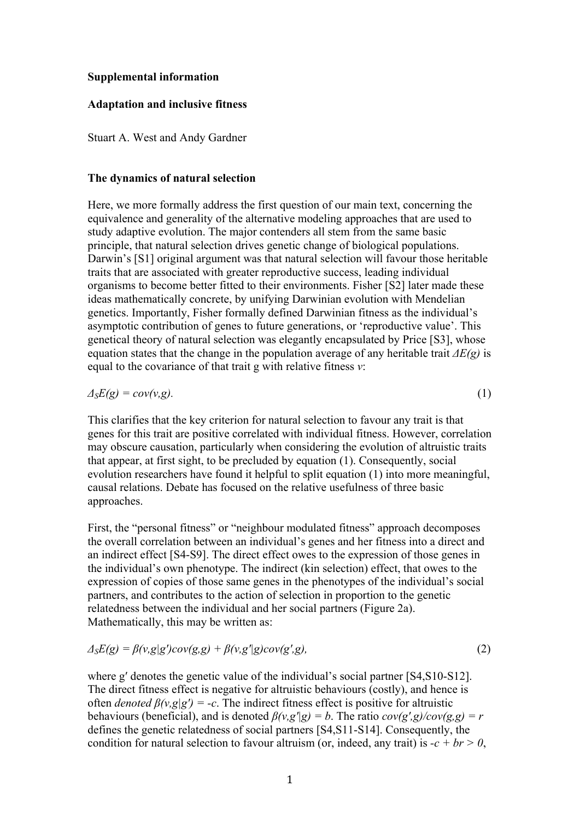### **Supplemental information**

### **Adaptation and inclusive fitness**

Stuart A. West and Andy Gardner

### **The dynamics of natural selection**

Here, we more formally address the first question of our main text, concerning the equivalence and generality of the alternative modeling approaches that are used to study adaptive evolution. The major contenders all stem from the same basic principle, that natural selection drives genetic change of biological populations. Darwin's [S1] original argument was that natural selection will favour those heritable traits that are associated with greater reproductive success, leading individual organisms to become better fitted to their environments. Fisher [S2] later made these ideas mathematically concrete, by unifying Darwinian evolution with Mendelian genetics. Importantly, Fisher formally defined Darwinian fitness as the individual's asymptotic contribution of genes to future generations, or 'reproductive value'. This genetical theory of natural selection was elegantly encapsulated by Price [S3], whose equation states that the change in the population average of any heritable trait *ΔE(g)* is equal to the covariance of that trait g with relative fitness *v*:

$$
\Delta_{\mathcal{S}}E(\mathbf{g}) = cov(\mathbf{v}, \mathbf{g}).\tag{1}
$$

This clarifies that the key criterion for natural selection to favour any trait is that genes for this trait are positive correlated with individual fitness. However, correlation may obscure causation, particularly when considering the evolution of altruistic traits that appear, at first sight, to be precluded by equation (1). Consequently, social evolution researchers have found it helpful to split equation (1) into more meaningful, causal relations. Debate has focused on the relative usefulness of three basic approaches.

First, the "personal fitness" or "neighbour modulated fitness" approach decomposes the overall correlation between an individual's genes and her fitness into a direct and an indirect effect [S4-S9]. The direct effect owes to the expression of those genes in the individual's own phenotype. The indirect (kin selection) effect, that owes to the expression of copies of those same genes in the phenotypes of the individual's social partners, and contributes to the action of selection in proportion to the genetic relatedness between the individual and her social partners (Figure 2a). Mathematically, this may be written as:

$$
\Delta_S E(g) = \beta(v, g|g')cov(g, g) + \beta(v, g'|g)cov(g', g),\tag{2}
$$

where g′ denotes the genetic value of the individual's social partner [S4,S10-S12]. The direct fitness effect is negative for altruistic behaviours (costly), and hence is often *denoted*  $\beta(v, g|g') = -c$ . The indirect fitness effect is positive for altruistic behaviours (beneficial), and is denoted  $\beta(v,g'|g) = b$ . The ratio  $cov(g',g)/cov(g,g) = r$ defines the genetic relatedness of social partners [S4,S11-S14]. Consequently, the condition for natural selection to favour altruism (or, indeed, any trait) is  $-c + br > 0$ ,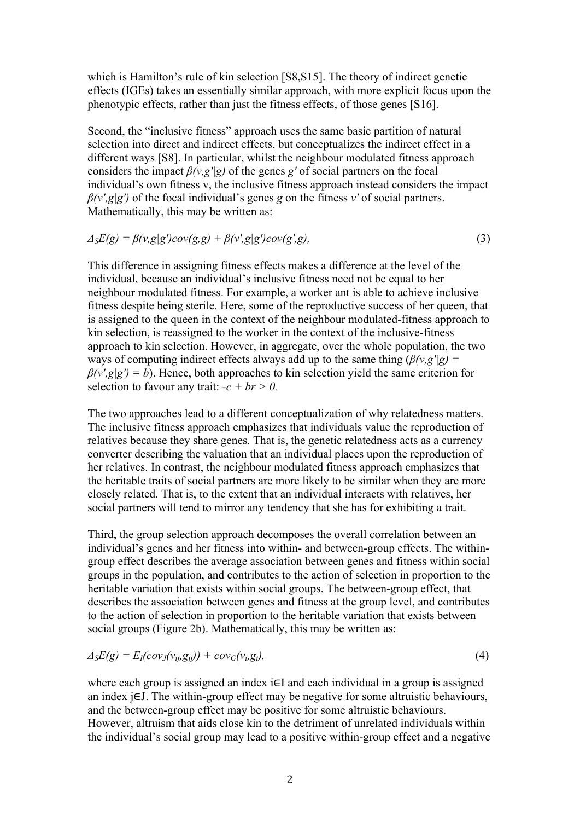which is Hamilton's rule of kin selection [S8, S15]. The theory of indirect genetic effects (IGEs) takes an essentially similar approach, with more explicit focus upon the phenotypic effects, rather than just the fitness effects, of those genes [S16].

Second, the "inclusive fitness" approach uses the same basic partition of natural selection into direct and indirect effects, but conceptualizes the indirect effect in a different ways [S8]. In particular, whilst the neighbour modulated fitness approach considers the impact  $\beta(v, g'|g)$  of the genes g' of social partners on the focal individual's own fitness v, the inclusive fitness approach instead considers the impact  $\beta$ (*v'*,*g*|*g'*) of the focal individual's genes *g* on the fitness *v'* of social partners. Mathematically, this may be written as:

$$
\Delta_S E(g) = \beta(v, g|g')cov(g, g) + \beta(v', g|g')cov(g', g),\tag{3}
$$

This difference in assigning fitness effects makes a difference at the level of the individual, because an individual's inclusive fitness need not be equal to her neighbour modulated fitness. For example, a worker ant is able to achieve inclusive fitness despite being sterile. Here, some of the reproductive success of her queen, that is assigned to the queen in the context of the neighbour modulated-fitness approach to kin selection, is reassigned to the worker in the context of the inclusive-fitness approach to kin selection. However, in aggregate, over the whole population, the two ways of computing indirect effects always add up to the same thing  $(\beta(v, g')g)$  =  $\beta$ (*v*',*g*|*g*') = *b*). Hence, both approaches to kin selection yield the same criterion for selection to favour any trait:  $-c + br > 0$ .

The two approaches lead to a different conceptualization of why relatedness matters. The inclusive fitness approach emphasizes that individuals value the reproduction of relatives because they share genes. That is, the genetic relatedness acts as a currency converter describing the valuation that an individual places upon the reproduction of her relatives. In contrast, the neighbour modulated fitness approach emphasizes that the heritable traits of social partners are more likely to be similar when they are more closely related. That is, to the extent that an individual interacts with relatives, her social partners will tend to mirror any tendency that she has for exhibiting a trait.

Third, the group selection approach decomposes the overall correlation between an individual's genes and her fitness into within- and between-group effects. The withingroup effect describes the average association between genes and fitness within social groups in the population, and contributes to the action of selection in proportion to the heritable variation that exists within social groups. The between-group effect, that describes the association between genes and fitness at the group level, and contributes to the action of selection in proportion to the heritable variation that exists between social groups (Figure 2b). Mathematically, this may be written as:

$$
\Delta_S E(g) = E_I(cov_J(v_{ij}, g_{ij})) + cov_G(v_{i}, g_{i}), \qquad (4)
$$

where each group is assigned an index i∈I and each individual in a group is assigned an index j∈J. The within-group effect may be negative for some altruistic behaviours, and the between-group effect may be positive for some altruistic behaviours. However, altruism that aids close kin to the detriment of unrelated individuals within the individual's social group may lead to a positive within-group effect and a negative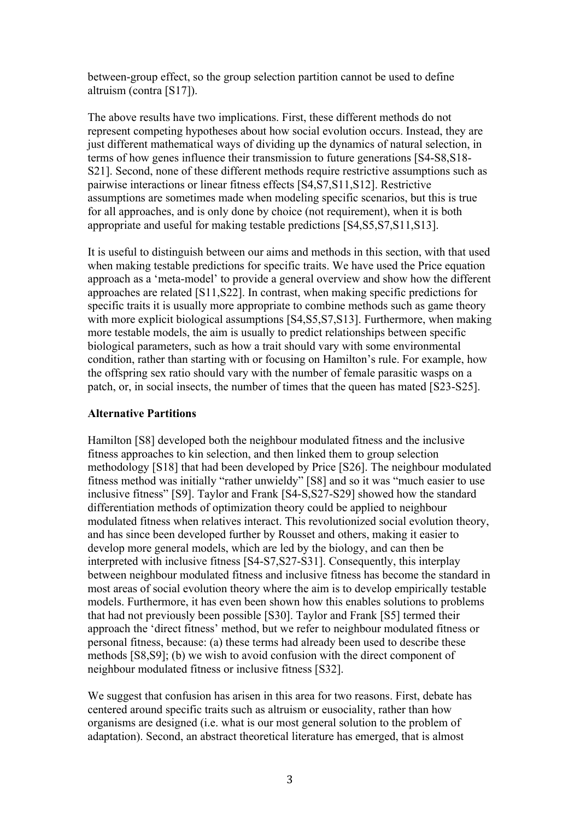between-group effect, so the group selection partition cannot be used to define altruism (contra [S17]).

The above results have two implications. First, these different methods do not represent competing hypotheses about how social evolution occurs. Instead, they are just different mathematical ways of dividing up the dynamics of natural selection, in terms of how genes influence their transmission to future generations [S4-S8,S18- S21]. Second, none of these different methods require restrictive assumptions such as pairwise interactions or linear fitness effects [S4,S7,S11,S12]. Restrictive assumptions are sometimes made when modeling specific scenarios, but this is true for all approaches, and is only done by choice (not requirement), when it is both appropriate and useful for making testable predictions [S4,S5,S7,S11,S13].

It is useful to distinguish between our aims and methods in this section, with that used when making testable predictions for specific traits. We have used the Price equation approach as a 'meta-model' to provide a general overview and show how the different approaches are related [S11,S22]. In contrast, when making specific predictions for specific traits it is usually more appropriate to combine methods such as game theory with more explicit biological assumptions [S4, S5, S7, S13]. Furthermore, when making more testable models, the aim is usually to predict relationships between specific biological parameters, such as how a trait should vary with some environmental condition, rather than starting with or focusing on Hamilton's rule. For example, how the offspring sex ratio should vary with the number of female parasitic wasps on a patch, or, in social insects, the number of times that the queen has mated [S23-S25].

### **Alternative Partitions**

Hamilton [S8] developed both the neighbour modulated fitness and the inclusive fitness approaches to kin selection, and then linked them to group selection methodology [S18] that had been developed by Price [S26]. The neighbour modulated fitness method was initially "rather unwieldy" [S8] and so it was "much easier to use inclusive fitness" [S9]. Taylor and Frank [S4-S,S27-S29] showed how the standard differentiation methods of optimization theory could be applied to neighbour modulated fitness when relatives interact. This revolutionized social evolution theory, and has since been developed further by Rousset and others, making it easier to develop more general models, which are led by the biology, and can then be interpreted with inclusive fitness [S4-S7,S27-S31]. Consequently, this interplay between neighbour modulated fitness and inclusive fitness has become the standard in most areas of social evolution theory where the aim is to develop empirically testable models. Furthermore, it has even been shown how this enables solutions to problems that had not previously been possible [S30]. Taylor and Frank [S5] termed their approach the 'direct fitness' method, but we refer to neighbour modulated fitness or personal fitness, because: (a) these terms had already been used to describe these methods [S8,S9]; (b) we wish to avoid confusion with the direct component of neighbour modulated fitness or inclusive fitness [S32].

We suggest that confusion has arisen in this area for two reasons. First, debate has centered around specific traits such as altruism or eusociality, rather than how organisms are designed (i.e. what is our most general solution to the problem of adaptation). Second, an abstract theoretical literature has emerged, that is almost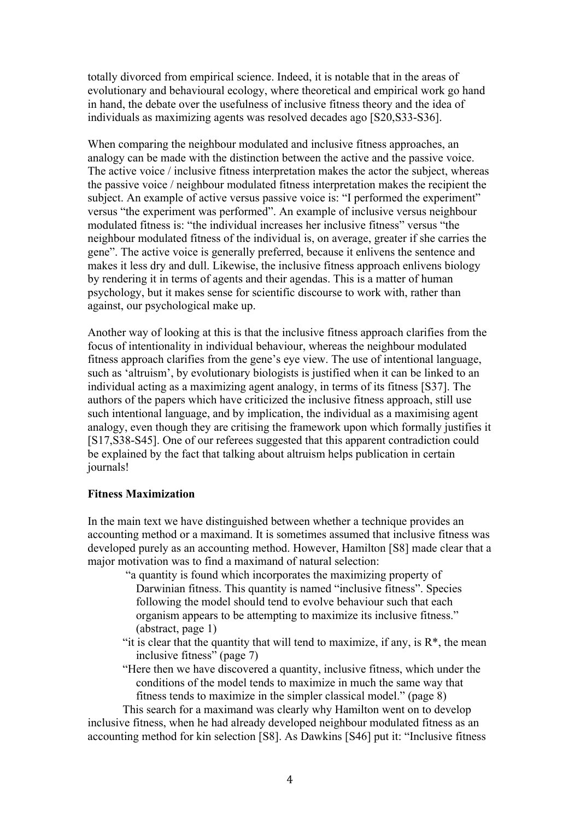totally divorced from empirical science. Indeed, it is notable that in the areas of evolutionary and behavioural ecology, where theoretical and empirical work go hand in hand, the debate over the usefulness of inclusive fitness theory and the idea of individuals as maximizing agents was resolved decades ago [S20,S33-S36].

When comparing the neighbour modulated and inclusive fitness approaches, an analogy can be made with the distinction between the active and the passive voice. The active voice / inclusive fitness interpretation makes the actor the subject, whereas the passive voice / neighbour modulated fitness interpretation makes the recipient the subject. An example of active versus passive voice is: "I performed the experiment" versus "the experiment was performed". An example of inclusive versus neighbour modulated fitness is: "the individual increases her inclusive fitness" versus "the neighbour modulated fitness of the individual is, on average, greater if she carries the gene". The active voice is generally preferred, because it enlivens the sentence and makes it less dry and dull. Likewise, the inclusive fitness approach enlivens biology by rendering it in terms of agents and their agendas. This is a matter of human psychology, but it makes sense for scientific discourse to work with, rather than against, our psychological make up.

Another way of looking at this is that the inclusive fitness approach clarifies from the focus of intentionality in individual behaviour, whereas the neighbour modulated fitness approach clarifies from the gene's eye view. The use of intentional language, such as 'altruism', by evolutionary biologists is justified when it can be linked to an individual acting as a maximizing agent analogy, in terms of its fitness [S37]. The authors of the papers which have criticized the inclusive fitness approach, still use such intentional language, and by implication, the individual as a maximising agent analogy, even though they are critising the framework upon which formally justifies it [S17,S38-S45]. One of our referees suggested that this apparent contradiction could be explained by the fact that talking about altruism helps publication in certain journals!

### **Fitness Maximization**

In the main text we have distinguished between whether a technique provides an accounting method or a maximand. It is sometimes assumed that inclusive fitness was developed purely as an accounting method. However, Hamilton [S8] made clear that a major motivation was to find a maximand of natural selection:

- "a quantity is found which incorporates the maximizing property of Darwinian fitness. This quantity is named "inclusive fitness". Species following the model should tend to evolve behaviour such that each organism appears to be attempting to maximize its inclusive fitness." (abstract, page 1)
- "it is clear that the quantity that will tend to maximize, if any, is  $R^*$ , the mean inclusive fitness" (page 7)
- "Here then we have discovered a quantity, inclusive fitness, which under the conditions of the model tends to maximize in much the same way that fitness tends to maximize in the simpler classical model." (page 8)

This search for a maximand was clearly why Hamilton went on to develop inclusive fitness, when he had already developed neighbour modulated fitness as an accounting method for kin selection [S8]. As Dawkins [S46] put it: "Inclusive fitness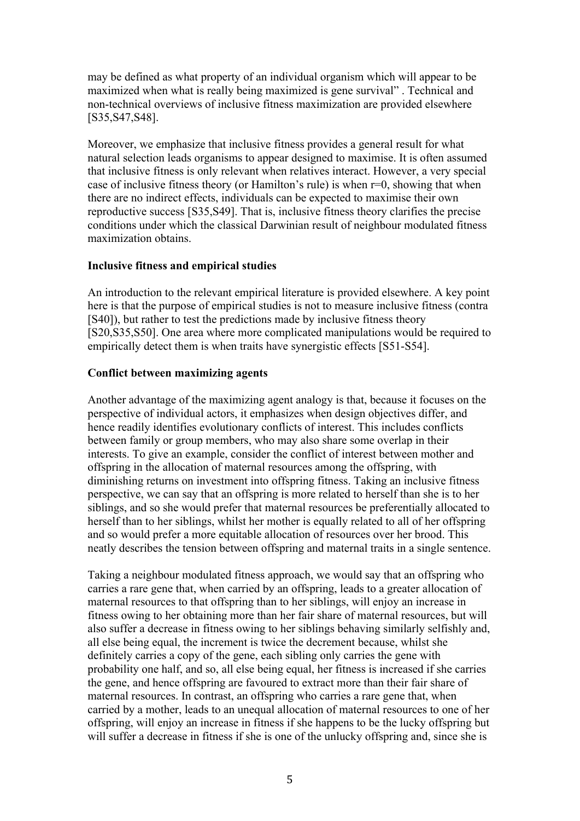may be defined as what property of an individual organism which will appear to be maximized when what is really being maximized is gene survival" . Technical and non-technical overviews of inclusive fitness maximization are provided elsewhere [S35,S47,S48].

Moreover, we emphasize that inclusive fitness provides a general result for what natural selection leads organisms to appear designed to maximise. It is often assumed that inclusive fitness is only relevant when relatives interact. However, a very special case of inclusive fitness theory (or Hamilton's rule) is when r=0, showing that when there are no indirect effects, individuals can be expected to maximise their own reproductive success [S35,S49]. That is, inclusive fitness theory clarifies the precise conditions under which the classical Darwinian result of neighbour modulated fitness maximization obtains.

### **Inclusive fitness and empirical studies**

An introduction to the relevant empirical literature is provided elsewhere. A key point here is that the purpose of empirical studies is not to measure inclusive fitness (contra [S40]), but rather to test the predictions made by inclusive fitness theory [S20,S35,S50]. One area where more complicated manipulations would be required to empirically detect them is when traits have synergistic effects [S51-S54].

### **Conflict between maximizing agents**

Another advantage of the maximizing agent analogy is that, because it focuses on the perspective of individual actors, it emphasizes when design objectives differ, and hence readily identifies evolutionary conflicts of interest. This includes conflicts between family or group members, who may also share some overlap in their interests. To give an example, consider the conflict of interest between mother and offspring in the allocation of maternal resources among the offspring, with diminishing returns on investment into offspring fitness. Taking an inclusive fitness perspective, we can say that an offspring is more related to herself than she is to her siblings, and so she would prefer that maternal resources be preferentially allocated to herself than to her siblings, whilst her mother is equally related to all of her offspring and so would prefer a more equitable allocation of resources over her brood. This neatly describes the tension between offspring and maternal traits in a single sentence.

Taking a neighbour modulated fitness approach, we would say that an offspring who carries a rare gene that, when carried by an offspring, leads to a greater allocation of maternal resources to that offspring than to her siblings, will enjoy an increase in fitness owing to her obtaining more than her fair share of maternal resources, but will also suffer a decrease in fitness owing to her siblings behaving similarly selfishly and, all else being equal, the increment is twice the decrement because, whilst she definitely carries a copy of the gene, each sibling only carries the gene with probability one half, and so, all else being equal, her fitness is increased if she carries the gene, and hence offspring are favoured to extract more than their fair share of maternal resources. In contrast, an offspring who carries a rare gene that, when carried by a mother, leads to an unequal allocation of maternal resources to one of her offspring, will enjoy an increase in fitness if she happens to be the lucky offspring but will suffer a decrease in fitness if she is one of the unlucky offspring and, since she is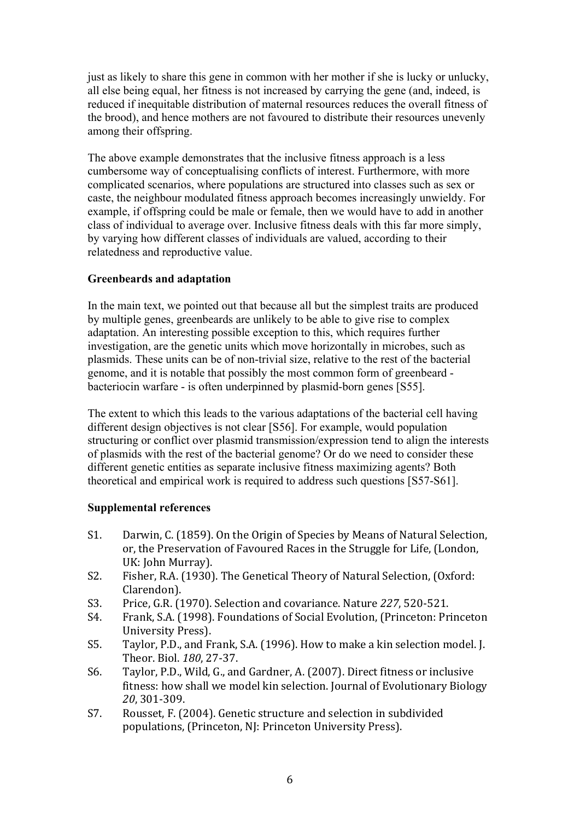just as likely to share this gene in common with her mother if she is lucky or unlucky, all else being equal, her fitness is not increased by carrying the gene (and, indeed, is reduced if inequitable distribution of maternal resources reduces the overall fitness of the brood), and hence mothers are not favoured to distribute their resources unevenly among their offspring.

The above example demonstrates that the inclusive fitness approach is a less cumbersome way of conceptualising conflicts of interest. Furthermore, with more complicated scenarios, where populations are structured into classes such as sex or caste, the neighbour modulated fitness approach becomes increasingly unwieldy. For example, if offspring could be male or female, then we would have to add in another class of individual to average over. Inclusive fitness deals with this far more simply, by varying how different classes of individuals are valued, according to their relatedness and reproductive value.

### **Greenbeards and adaptation**

In the main text, we pointed out that because all but the simplest traits are produced by multiple genes, greenbeards are unlikely to be able to give rise to complex adaptation. An interesting possible exception to this, which requires further investigation, are the genetic units which move horizontally in microbes, such as plasmids. These units can be of non-trivial size, relative to the rest of the bacterial genome, and it is notable that possibly the most common form of greenbeard bacteriocin warfare - is often underpinned by plasmid-born genes [S55].

The extent to which this leads to the various adaptations of the bacterial cell having different design objectives is not clear [S56]. For example, would population structuring or conflict over plasmid transmission/expression tend to align the interests of plasmids with the rest of the bacterial genome? Or do we need to consider these different genetic entities as separate inclusive fitness maximizing agents? Both theoretical and empirical work is required to address such questions [S57-S61].

## **Supplemental references**

- S1. Darwin, C. (1859). On the Origin of Species by Means of Natural Selection, or, the Preservation of Favoured Races in the Struggle for Life, (London, UK: John Murray).
- S2. Fisher, R.A. (1930). The Genetical Theory of Natural Selection, (Oxford: Clarendon).
- S3. Price, G.R. (1970). Selection and covariance. Nature 227, 520-521.
- S4. Frank, S.A. (1998). Foundations of Social Evolution, (Princeton: Princeton University Press).
- S5. Taylor, P.D., and Frank, S.A. (1996). How to make a kin selection model. J. Theor. Biol. 180, 27-37.
- S6. Taylor, P.D., Wild, G., and Gardner, A. (2007). Direct fitness or inclusive fitness: how shall we model kin selection. Journal of Evolutionary Biology *20*, 301-309.
- S7. Rousset, F. (2004). Genetic structure and selection in subdivided populations, (Princeton, NJ: Princeton University Press).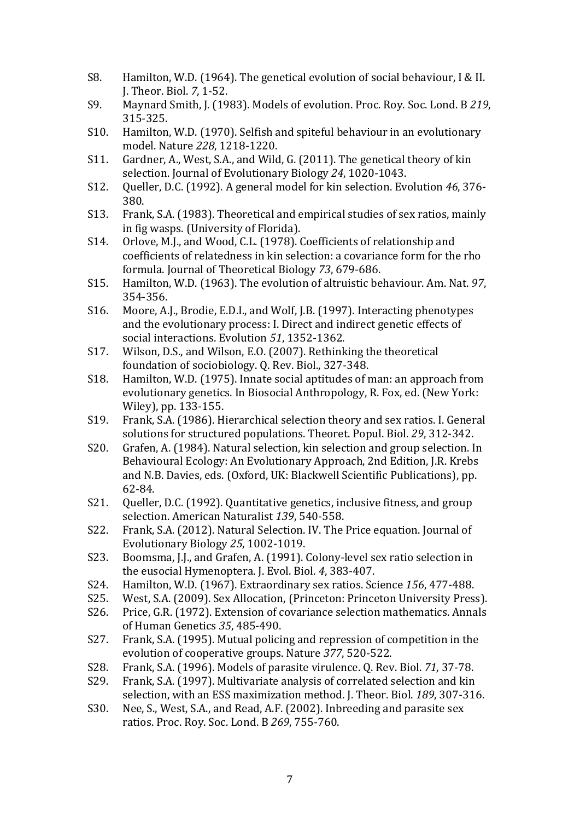- S8. Hamilton, W.D. (1964). The genetical evolution of social behaviour, I & II. J. Theor. Biol. 7, 1-52.
- S9. Maynard Smith, J. (1983). Models of evolution. Proc. Roy. Soc. Lond. B 219, 315-325.
- S10. Hamilton, W.D. (1970). Selfish and spiteful behaviour in an evolutionary model. Nature 228, 1218-1220.
- S11. Gardner, A., West, S.A., and Wild, G. (2011). The genetical theory of kin selection. Journal of Evolutionary Biology 24, 1020-1043.
- S12. Queller, D.C. (1992). A general model for kin selection. Evolution 46, 376-380.
- S13. Frank, S.A. (1983). Theoretical and empirical studies of sex ratios, mainly in fig wasps. (University of Florida).
- S14. Orlove, M.J., and Wood, C.L. (1978). Coefficients of relationship and coefficients of relatedness in kin selection: a covariance form for the rho formula. Journal of Theoretical Biology 73, 679-686.
- S15. Hamilton, W.D. (1963). The evolution of altruistic behaviour. Am. Nat. 97, 354-356.
- S16. Moore, A.J., Brodie, E.D.I., and Wolf, J.B. (1997). Interacting phenotypes and the evolutionary process: I. Direct and indirect genetic effects of social interactions. Evolution 51, 1352-1362.
- S17. Wilson, D.S., and Wilson, E.O. (2007). Rethinking the theoretical foundation of sociobiology. Q. Rev. Biol., 327-348.
- S18. Hamilton, W.D. (1975). Innate social aptitudes of man: an approach from evolutionary genetics. In Biosocial Anthropology, R. Fox, ed. (New York: Wiley), pp. 133-155.
- S19. Frank, S.A. (1986). Hierarchical selection theory and sex ratios. I. General solutions for structured populations. Theoret. Popul. Biol. 29, 312-342.
- S20. Grafen, A. (1984). Natural selection, kin selection and group selection. In Behavioural Ecology: An Evolutionary Approach, 2nd Edition, J.R. Krebs and N.B. Davies, eds. (Oxford, UK: Blackwell Scientific Publications), pp. 62-84.
- S21. Queller, D.C. (1992). Quantitative genetics, inclusive fitness, and group selection. American Naturalist 139, 540-558.
- S22. Frank, S.A. (2012). Natural Selection. IV. The Price equation. Journal of Evolutionary Biology 25, 1002-1019.
- S23. Boomsma, J.J., and Grafen, A. (1991). Colony-level sex ratio selection in the eusocial Hymenoptera. I. Evol. Biol. 4, 383-407.
- S24. Hamilton, W.D. (1967). Extraordinary sex ratios. Science 156, 477-488.
- S25. West, S.A. (2009). Sex Allocation, (Princeton: Princeton University Press).
- S26. Price, G.R. (1972). Extension of covariance selection mathematics. Annals of Human Genetics 35, 485-490.
- S27. Frank, S.A. (1995). Mutual policing and repression of competition in the evolution of cooperative groups. Nature 377, 520-522.
- S28. Frank, S.A. (1996). Models of parasite virulence. Q. Rev. Biol. 71, 37-78.
- S29. Frank, S.A. (1997). Multivariate analysis of correlated selection and kin selection, with an ESS maximization method. J. Theor. Biol. 189, 307-316.
- S30. Nee, S., West, S.A., and Read, A.F. (2002). Inbreeding and parasite sex ratios. Proc. Roy. Soc. Lond. B 269, 755-760.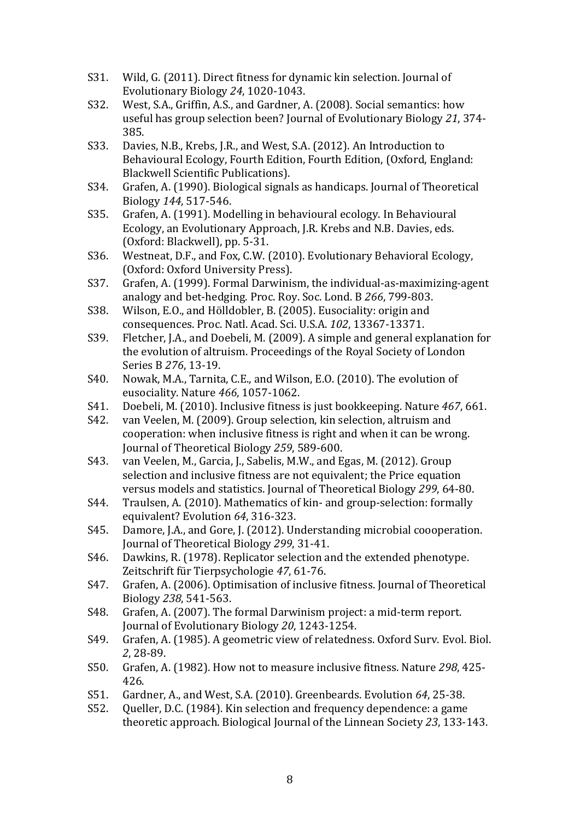- S31. Wild, G. (2011). Direct fitness for dynamic kin selection. Journal of Evolutionary Biology 24, 1020-1043.
- S32. West, S.A., Griffin, A.S., and Gardner, A. (2008). Social semantics: how useful has group selection been? Journal of Evolutionary Biology 21, 374-385.
- S33. Davies, N.B., Krebs, J.R., and West, S.A. (2012). An Introduction to Behavioural Ecology, Fourth Edition, Fourth Edition, (Oxford, England: Blackwell Scientific Publications).
- S34. Grafen, A. (1990). Biological signals as handicaps. Journal of Theoretical Biology 144, 517-546.
- S35. Grafen, A. (1991). Modelling in behavioural ecology. In Behavioural Ecology, an Evolutionary Approach, J.R. Krebs and N.B. Davies, eds.  $(Oxford: Blackwell)$ , pp. 5-31.
- S36. Westneat, D.F., and Fox, C.W. (2010). Evolutionary Behavioral Ecology, (Oxford: Oxford University Press).
- S37. Grafen, A. (1999). Formal Darwinism, the individual-as-maximizing-agent analogy and bet-hedging. Proc. Roy. Soc. Lond. B 266, 799-803.
- S38. Wilson, E.O., and Hölldobler, B. (2005). Eusociality: origin and consequences. Proc. Natl. Acad. Sci. U.S.A. 102, 13367-13371.
- S39. Fletcher, J.A., and Doebeli, M. (2009). A simple and general explanation for the evolution of altruism. Proceedings of the Royal Society of London Series B 276, 13-19.
- S40. Nowak, M.A., Tarnita, C.E., and Wilson, E.O. (2010). The evolution of eusociality. Nature 466, 1057-1062.
- S41. Doebeli, M. (2010). Inclusive fitness is just bookkeeping. Nature 467, 661.
- S42. van Veelen, M. (2009). Group selection, kin selection, altruism and cooperation: when inclusive fitness is right and when it can be wrong. Journal of Theoretical Biology 259, 589-600.
- S43. van Veelen, M., Garcia, J., Sabelis, M.W., and Egas, M. (2012). Group selection and inclusive fitness are not equivalent; the Price equation versus models and statistics. Journal of Theoretical Biology 299, 64-80.
- S44. Traulsen, A. (2010). Mathematics of kin- and group-selection: formally equivalent? Evolution 64, 316-323.
- S45. Damore, J.A., and Gore, J. (2012). Understanding microbial cooperation. Journal of Theoretical Biology 299, 31-41.
- S46. Dawkins, R. (1978). Replicator selection and the extended phenotype. Zeitschrift für Tierpsychologie 47, 61-76.
- S47. Grafen, A. (2006). Optimisation of inclusive fitness. Journal of Theoretical Biology 238, 541-563.
- S48. Grafen, A. (2007). The formal Darwinism project: a mid-term report. Journal of Evolutionary Biology 20, 1243-1254.
- S49. Grafen, A. (1985). A geometric view of relatedness. Oxford Surv. Evol. Biol. 2, 28-89.
- S50. Grafen, A. (1982). How not to measure inclusive fitness. Nature 298, 425-426.
- S51. Gardner, A., and West, S.A. (2010). Greenbeards. Evolution 64, 25-38.
- S52. Queller, D.C. (1984). Kin selection and frequency dependence: a game theoretic approach. Biological Journal of the Linnean Society 23, 133-143.